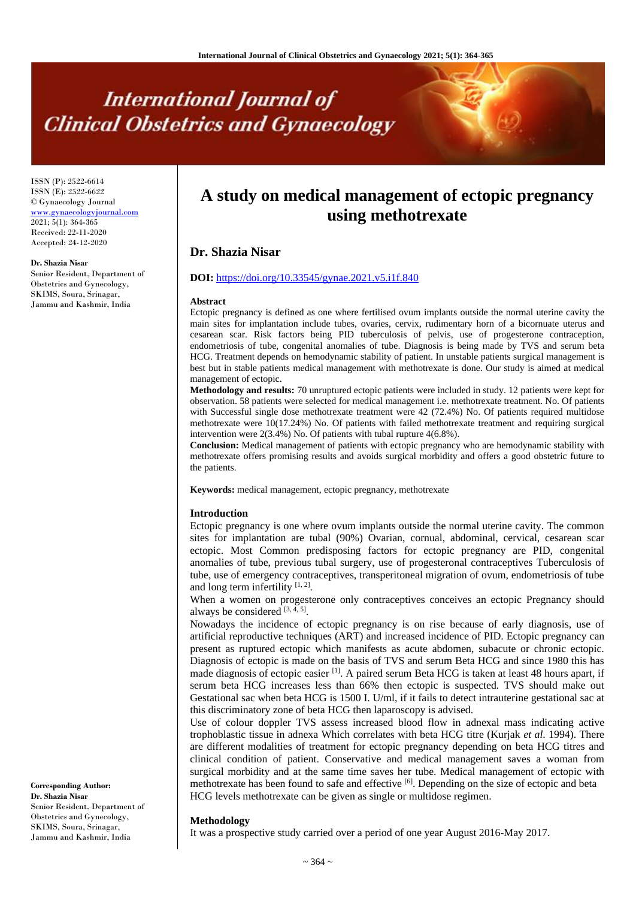# **International Journal of Clinical Obstetrics and Gynaecology**

ISSN (P): 2522-6614 ISSN (E): 2522-6622 © Gynaecology Journal <www.gynaecologyjournal.com> 2021; 5(1): 364-365 Received: 22-11-2020 Accepted: 24-12-2020

**Dr. Shazia Nisar** Senior Resident, Department of Obstetrics and Gynecology, SKIMS, Soura, Srinagar, Jammu and Kashmir, India

**A study on medical management of ectopic pregnancy using methotrexate**

## **Dr. Shazia Nisar**

### **DOI:** <https://doi.org/10.33545/gynae.2021.v5.i1f.840>

#### **Abstract**

Ectopic pregnancy is defined as one where fertilised ovum implants outside the normal uterine cavity the main sites for implantation include tubes, ovaries, cervix, rudimentary horn of a bicornuate uterus and cesarean scar. Risk factors being PID tuberculosis of pelvis, use of progesterone contraception, endometriosis of tube, congenital anomalies of tube. Diagnosis is being made by TVS and serum beta HCG. Treatment depends on hemodynamic stability of patient. In unstable patients surgical management is best but in stable patients medical management with methotrexate is done. Our study is aimed at medical management of ectopic.

**Methodology and results:** 70 unruptured ectopic patients were included in study. 12 patients were kept for observation. 58 patients were selected for medical management i.e. methotrexate treatment. No. Of patients with Successful single dose methotrexate treatment were 42 (72.4%) No. Of patients required multidose methotrexate were 10(17.24%) No. Of patients with failed methotrexate treatment and requiring surgical intervention were 2(3.4%) No. Of patients with tubal rupture 4(6.8%).

**Conclusion:** Medical management of patients with ectopic pregnancy who are hemodynamic stability with methotrexate offers promising results and avoids surgical morbidity and offers a good obstetric future to the patients.

**Keywords:** medical management, ectopic pregnancy, methotrexate

#### **Introduction**

Ectopic pregnancy is one where ovum implants outside the normal uterine cavity. The common sites for implantation are tubal (90%) Ovarian, cornual, abdominal, cervical, cesarean scar ectopic. Most Common predisposing factors for ectopic pregnancy are PID, congenital anomalies of tube, previous tubal surgery, use of progesteronal contraceptives Tuberculosis of tube, use of emergency contraceptives, transperitoneal migration of ovum, endometriosis of tube and long term infertility  $[1, 2]$ .

When a women on progesterone only contraceptives conceives an ectopic Pregnancy should always be considered  $[3, 4, 5]$ .

Nowadays the incidence of ectopic pregnancy is on rise because of early diagnosis, use of artificial reproductive techniques (ART) and increased incidence of PID. Ectopic pregnancy can present as ruptured ectopic which manifests as acute abdomen, subacute or chronic ectopic. Diagnosis of ectopic is made on the basis of TVS and serum Beta HCG and since 1980 this has made diagnosis of ectopic easier [1]. A paired serum Beta HCG is taken at least 48 hours apart, if serum beta HCG increases less than 66% then ectopic is suspected. TVS should make out Gestational sac when beta HCG is 1500 I. U/ml, if it fails to detect intrauterine gestational sac at this discriminatory zone of beta HCG then laparoscopy is advised.

Use of colour doppler TVS assess increased blood flow in adnexal mass indicating active trophoblastic tissue in adnexa Which correlates with beta HCG titre (Kurjak *et al*. 1994). There are different modalities of treatment for ectopic pregnancy depending on beta HCG titres and clinical condition of patient. Conservative and medical management saves a woman from surgical morbidity and at the same time saves her tube. Medical management of ectopic with methotrexate has been found to safe and effective [6]. Depending on the size of ectopic and beta HCG levels methotrexate can be given as single or multidose regimen.

#### **Methodology**

It was a prospective study carried over a period of one year August 2016-May 2017.

**Corresponding Author: Dr. Shazia Nisar** Senior Resident, Department of Obstetrics and Gynecology, SKIMS, Soura, Srinagar, Jammu and Kashmir, India